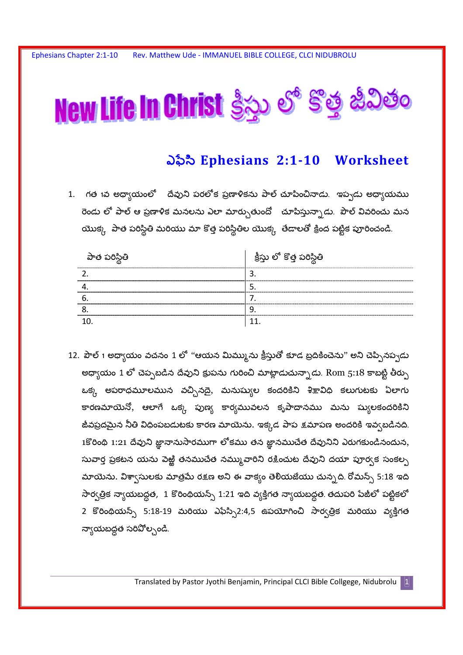

## ఎఫీసి Ephesians 2:1-10 Worksheet

1. గత 1వ అధ్యాయంలో దేవుని పరలోక ప్రణాళికను పాల్ చూపించినాడు. ఇప్పడు అధ్యాయము రెండు లో పాల్ ఆ ప్రణాళిక మనలను ఎలా మార్చుతుందో యాపిస్తున్నాడు. పౌల్ వివరించు మన యొక్క పాత పరిస్థితి మరియు మా కొత్త పరిస్థితిల యొక్క తేడాలతో క్రింద పట్టిక పూరించండి.

| పాత పరిస్థితి              | ్తు లో కొత్త పరిస్థితి |
|----------------------------|------------------------|
|                            |                        |
| -------------------------- |                        |
|                            |                        |
|                            |                        |
|                            |                        |

12. పౌల్ 1 అధ్యాయం వచనం 1 లో ''ఆయన మిమ్మును క్రీస్తుతో కూడ బ్రదికించెను'' అని చెప్పినప్పడు అధ్వాయం 1 లో చెప్పబడిన దేవుని క్రుపను గురించి మాట్లాడుచున్నాడు. Rom 5:18 కాబట్టి తీర్పు ఒక్క అపరాధమూలమున వచ్చినదై, మనుష్యుల కందరికిని శిక్షావిధి కలుగుటకు ఏలాగు కారణమాయెనో, ఆలాగే ఒక్క పుణ్య కార్యమువలన కృపాదానము మను ష్యులకందరికిని జీవప్రదమైన నీతి విధింపబడుటకు కారణ మాయెను. ఇక్కడ పాప క్షమాపణ అందరికి ఇవ్వబడినది. 1కోరింథి 1:21 దేవుని జ్ఞానానుసారముగా లోకము తన జ్ఞానముచేత దేవునిని ఎరుగకుండినందున, సువార్త ప్రకటన యను పెఱ్ఱి తనముచేత నమ్ము,వారిని రక్షించుట దేవుని దయా పూర్వక సంకల్ప మాయెను. విశా్సులకు మాత్రమే రక్షణ అని ఈ వాక్యం తెలియజేయు చున్నది. రోమన్స్ 5:18 ఇది సార్వత్రిక న్యాయబద్ధత, 1 కొరింథియన్స్ 1:21 ఇది వ్యక్తిగత న్యాయబద్ధత తదుపరి పేజీలో పట్టికలో 2 కొరింథియన్స్ 5:18-19 మరియు ఎఫేస్సి2:4,5 ఉపయోగించి సార్వత్రిక మరియు వ్యక్తిగత న్యాయబద్ధత సరిపోల్చండి.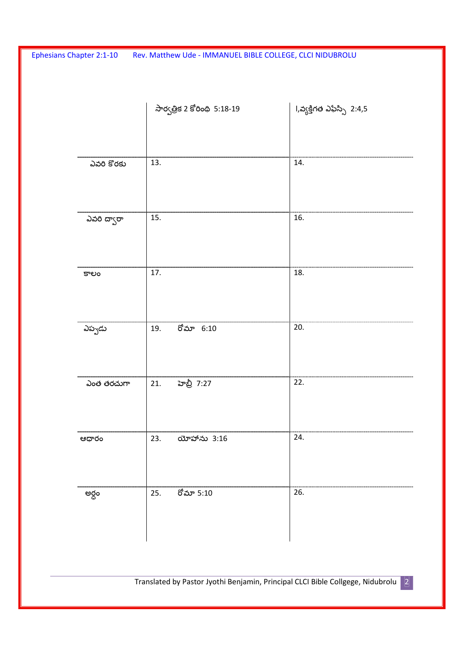|               | సార్వత్రిక 2 కోరింథి 5:18-19 | l,వ్యక్తిగత ఎఫేస్సి 2:4,5 |
|---------------|------------------------------|---------------------------|
| ఎవరి కొరకు    | 13.                          | 14.                       |
| ఎవరి ద్వారా   | 15.                          | 16.                       |
| కాలం          | 17.                          | 18.                       |
| ఎప్పడు        | రోమా 6:10<br>19.             | 20.                       |
| ఎంత తరచుగా    | హెబ్రీ 7:27<br>21.           | 22.                       |
| ಆಧ್ <b>ರಂ</b> | 23.<br>యోహాను 3:16           | 24.                       |
| అర్ధం         | రోమా 5:10<br>25.             | 26.                       |

Translated by Pastor Jyothi Benjamin, Principal CLCI Bible Collgege, Nidubrolu 2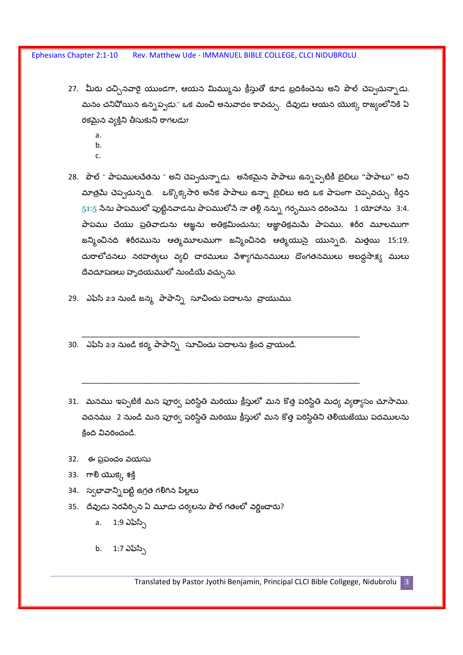- 27. మీరు చచ్చినవారై యుండగా, ఆయన మిమ్మును క్రీస్తుతో కూడ బ్రదికించెను అని పౌల్ చెప్పచున్నాడు. మనం చనిపోయిన ఉన్నప్వడు." ఒక మంచి అనువాదం కావచ్చు. దేవుడు ఆయన యొక్క రాజ్యంలోనికి ఏ రకమైన వ్యక్తిని తీసుకుని రాగలడు?
	- a.
	- b.
	- $\mathsf{C}$
- 28. పౌల్ " పాపములచేతను " అని చెప్పచున్నాడు. అసేకమైన పాపాలు ఉన్నప్పటికీ బైబిలు "పాపాలు" అని మాత్రమే చెప్పచున్నది. జక్కొక్కసారి అసేక పాపాలు ఉన్నా బైబిలు అది ఒక పాపంగా చెప్పవచ్చు. కీర్తన  $51:5$  నేను పాపములో పుట్టినవాడను పాపములోనే నా తల్లి నన్ను గర్భమున ధరించెను  $1$  యోహాను  $3:4$ . పాపము చేయు ప్రతివాడును ఆజ్ఞను అతిక్రమించును; ఆజ్ఞాతిక్రమమే పాపము. శరీర మూలముగా జన్మించినది శరీరమును ఆత్మమూలముగా జన్మించినది ఆత్మయునై యున్నది. మత్తయి 15:19. దురాలోచనలు నరహత్యలు వ్యభి చారములు పేశ్వాగమనములు దొంగతనములు అబద్దసాక్ష్య ములు దేవదూషణలు హృదయములో నుండియే వచ్చును.
- 29. ఎఫీసి 2:3 నుండి జన్మ పాపాన్ని సూచించు పదాలను వ్రాయుము.
- 30. ఎఫీసి 2:3 నుండి కర్మ పాపాన్ని సూచించు పదాలను క్రింద వ్రాయండి.
- 31. మనము ఇప్పటికే మన పూర్వ పరిస్థితి మరియు క్రీస్తులో మన కొత్త పరిస్థితి మధ్య వ్యత్యాసం చూసాము. వచనము 2 నుండి మన పూర్వ పరిస్థితి మరియు క్రీస్తులో మన కొత్త పరిస్థితిని తెలియజేయు పదములను కింది వివరించండి.
- 32. ఈ ప్రపంచం వయసు
- 33. ಗಾ<mark>ಲಿ</mark> ಯುಕ್ಗ್ರ ಕಕ್ತಿ
- 34. స్వభావాన్ని బట్టి ఉగ్రత గలిగిన పిల్లలు
- 35. దేవుడు సెరపేర్సిన ఏ మూడు చర్యలను పౌల్ గతంలో వర్ణించారు?
	- a.  $1:9 \text{ a} \lambda \lambda \gamma$
	- b.  $1:7 \text{ } \partial \phi \partial \gamma$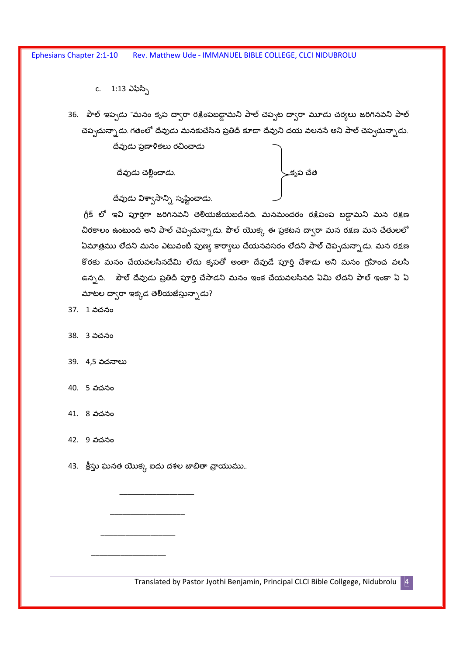c. 1:13 ఎఫేస్సి

36. పౌల్ ఇప్పడు "మనం కృప ద్వారా రక్షింపబడ్డామని పాల్ చెప్పట ద్వారా మూడు చర్యలు జరిగినవని పాల్ చెప్పచున్నాడు. గతంలో దేవుడు మనకుచేసిన ప్రతిదీ కూడా దేవుని దయ వలనసే అని పాల్ చెప్పచున్నాడు.

దేవుడు ప్రణాళికలు రచించాడు

దేవుడు చెల్లించాడు.



దేవుడు విశ్వాసాన్ని సృష్టించాడు.

గ్రీక్ లో ఇవి పూర్తిగా జరిగినవని తెలియజేయబడినది. మనమందరం రక్షిపంప బడ్డామని మన రక్షణ చిరకాలం ఉంటుంది అని పాల్ చెప్పచున్నాడు. పౌల్ యొక్క ఈ ప్రకటన ద్వారా మన రక్షణ మన చేతులలో ఏమాత్రము లేదని మనం ఎటువంటి పుణ్య కార్యాలు చేయనవసరం లేదని పాల్ చెప్పచున్నాడు. మన రక్షణ కొరకు మనం చేయవలసినదేమి లేదు కృపతో అంతా దేవుడే పూర్తి చేశాడు అని మనం గ్రహించ వలసి ఉన్నది. పౌల్ దేవుడు ప్రతిదీ పూర్తి చేసాడని మనం ఇంక చేయవలసినది ఏమి లేదని పాల్ ఇంకా ఏ ఏ మాటల దా్ారా ఇక్కడ తెలియజేస్తున్నాడు?

37. 1 వచనం

38. 3 వచనం

39. 4,5 వచనాలు

40. 5 వచనం

41. 8 వచనం

42. 9 వచనం

43. క్రీస్తు ఘనత యొక్క ఐదు దశల జాబితా వ్రాయుము..

Translated by Pastor Jyothi Benjamin, Principal CLCI Bible Collgege, Nidubrolu 4